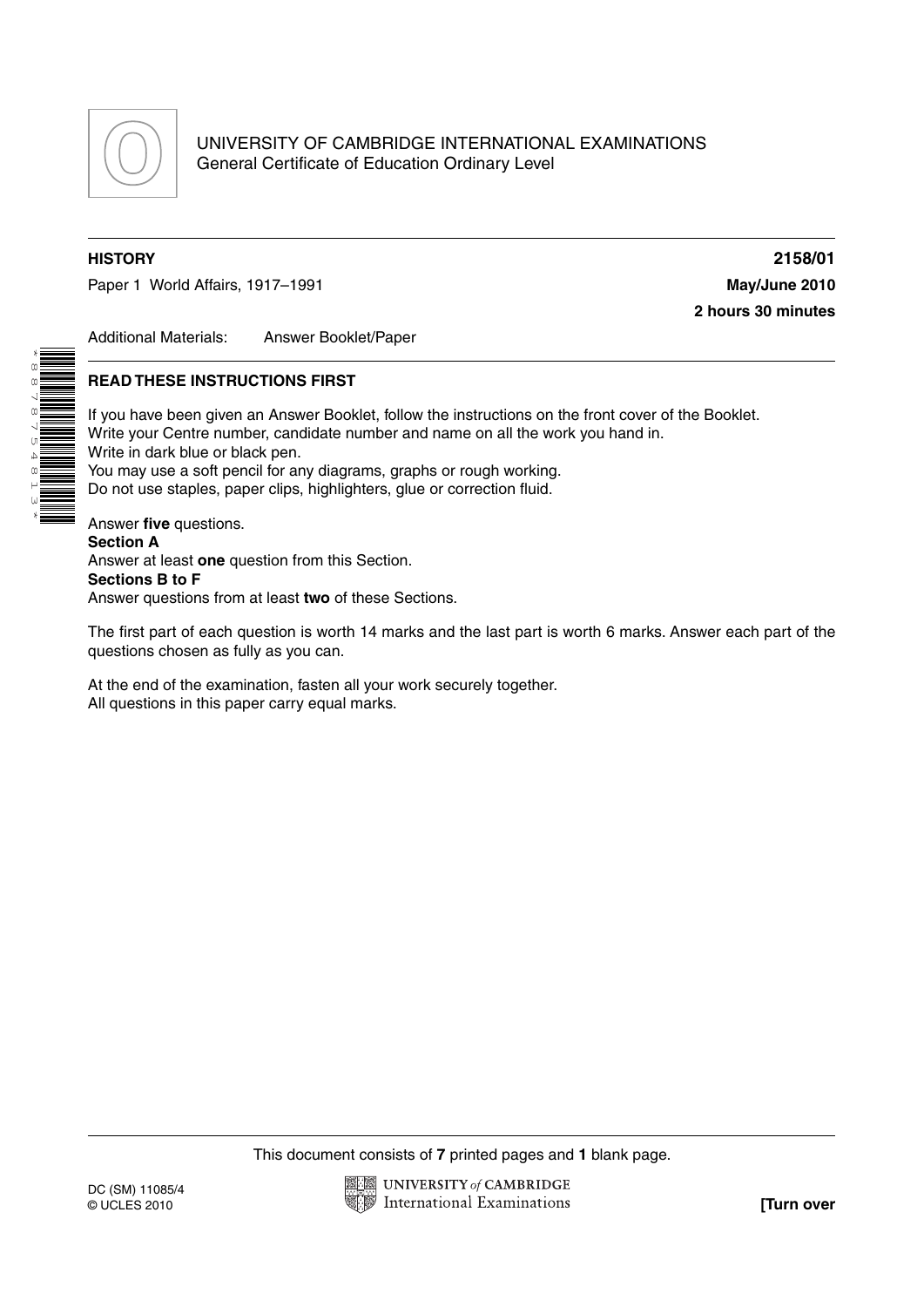

\*8878754813\*

Paper 1 World Affairs, 1917–1991 **May/June 2010**

**HISTORY 2158/01 2 hours 30 minutes**

Additional Materials: Answer Booklet/Paper

#### **READ THESE INSTRUCTIONS FIRST**

If you have been given an Answer Booklet, follow the instructions on the front cover of the Booklet. Write your Centre number, candidate number and name on all the work you hand in. Write in dark blue or black pen. You may use a soft pencil for any diagrams, graphs or rough working. Do not use staples, paper clips, highlighters, glue or correction fluid. Answer **five** questions.

**Section A** Answer at least **one** question from this Section. **Sections B to F** Answer questions from at least **two** of these Sections.

The first part of each question is worth 14 marks and the last part is worth 6 marks. Answer each part of the questions chosen as fully as you can.

At the end of the examination, fasten all your work securely together. All questions in this paper carry equal marks.

This document consists of **7** printed pages and **1** blank page.

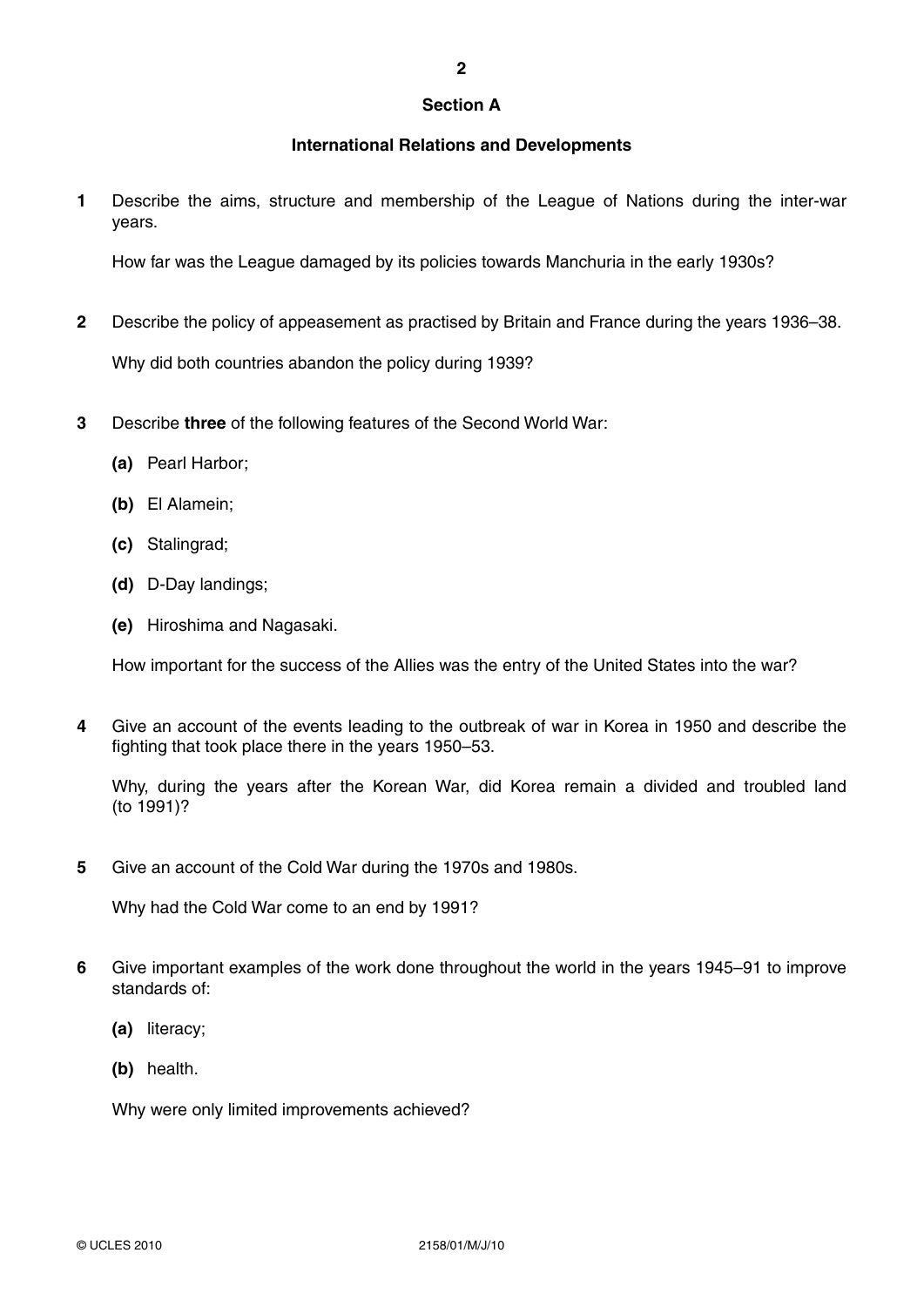#### **Section A**

**2**

## **International Relations and Developments**

**1** Describe the aims, structure and membership of the League of Nations during the inter-war years.

How far was the League damaged by its policies towards Manchuria in the early 1930s?

- **2** Describe the policy of appeasement as practised by Britain and France during the years 1936–38. Why did both countries abandon the policy during 1939?
- **3** Describe **three** of the following features of the Second World War:
	- **(a)** Pearl Harbor;
	- **(b)** El Alamein;
	- **(c)** Stalingrad;
	- **(d)** D-Day landings;
	- **(e)** Hiroshima and Nagasaki.

How important for the success of the Allies was the entry of the United States into the war?

**4** Give an account of the events leading to the outbreak of war in Korea in 1950 and describe the fighting that took place there in the years 1950–53.

Why, during the years after the Korean War, did Korea remain a divided and troubled land (to 1991)?

**5** Give an account of the Cold War during the 1970s and 1980s.

Why had the Cold War come to an end by 1991?

- **6** Give important examples of the work done throughout the world in the years 1945–91 to improve standards of:
	- **(a)** literacy;
	- **(b)** health.

Why were only limited improvements achieved?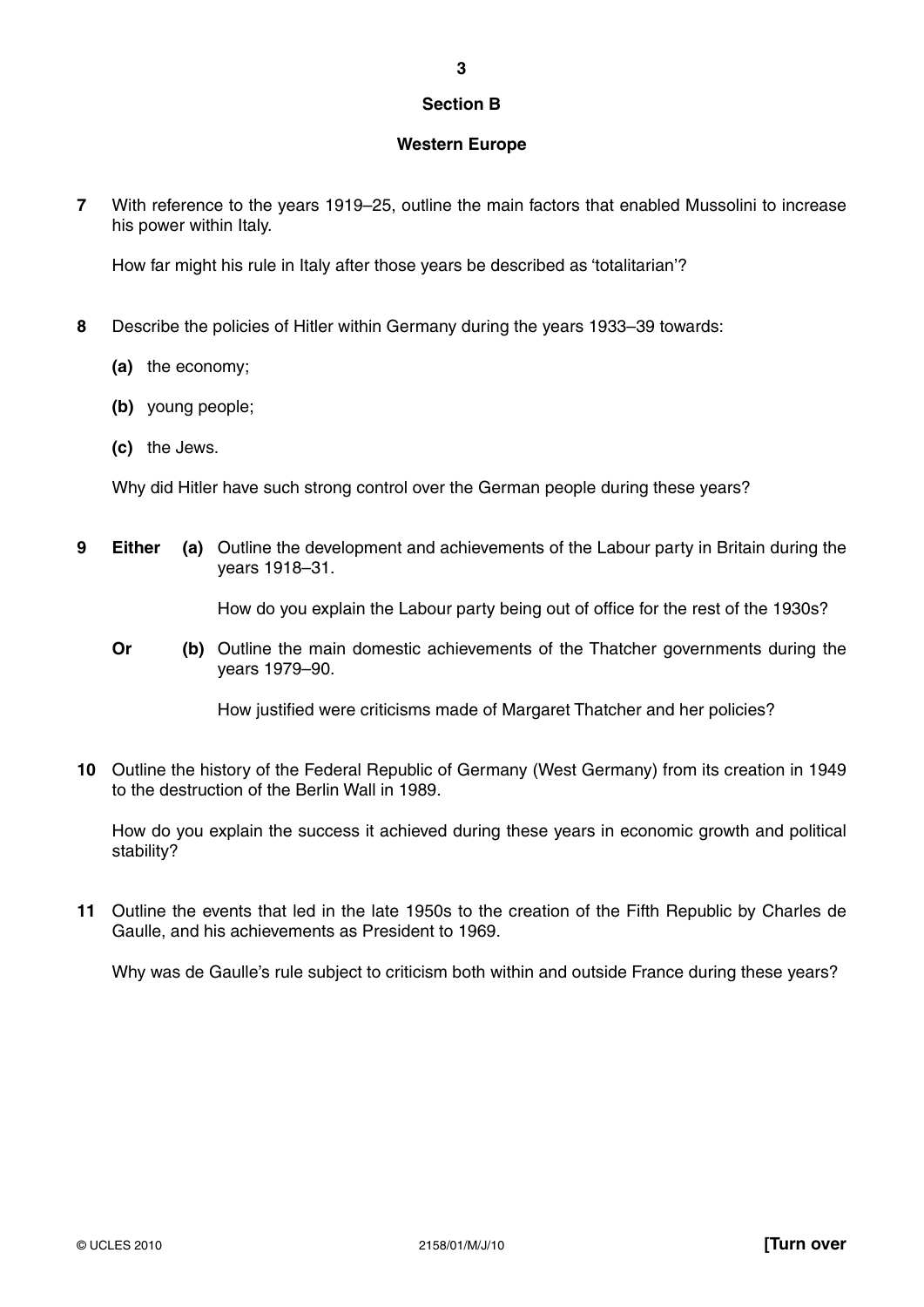#### **Section B**

## **Western Europe**

**7** With reference to the years 1919–25, outline the main factors that enabled Mussolini to increase his power within Italy.

How far might his rule in Italy after those years be described as 'totalitarian'?

- **8** Describe the policies of Hitler within Germany during the years 1933–39 towards:
	- **(a)** the economy;
	- **(b)** young people;
	- **(c)** the Jews.

Why did Hitler have such strong control over the German people during these years?

**9 Either (a)** Outline the development and achievements of the Labour party in Britain during the years 1918–31.

How do you explain the Labour party being out of office for the rest of the 1930s?

**Or** (b) Outline the main domestic achievements of the Thatcher governments during the years 1979–90.

How justified were criticisms made of Margaret Thatcher and her policies?

**10** Outline the history of the Federal Republic of Germany (West Germany) from its creation in 1949 to the destruction of the Berlin Wall in 1989.

How do you explain the success it achieved during these years in economic growth and political stability?

**11** Outline the events that led in the late 1950s to the creation of the Fifth Republic by Charles de Gaulle, and his achievements as President to 1969.

Why was de Gaulle's rule subject to criticism both within and outside France during these years?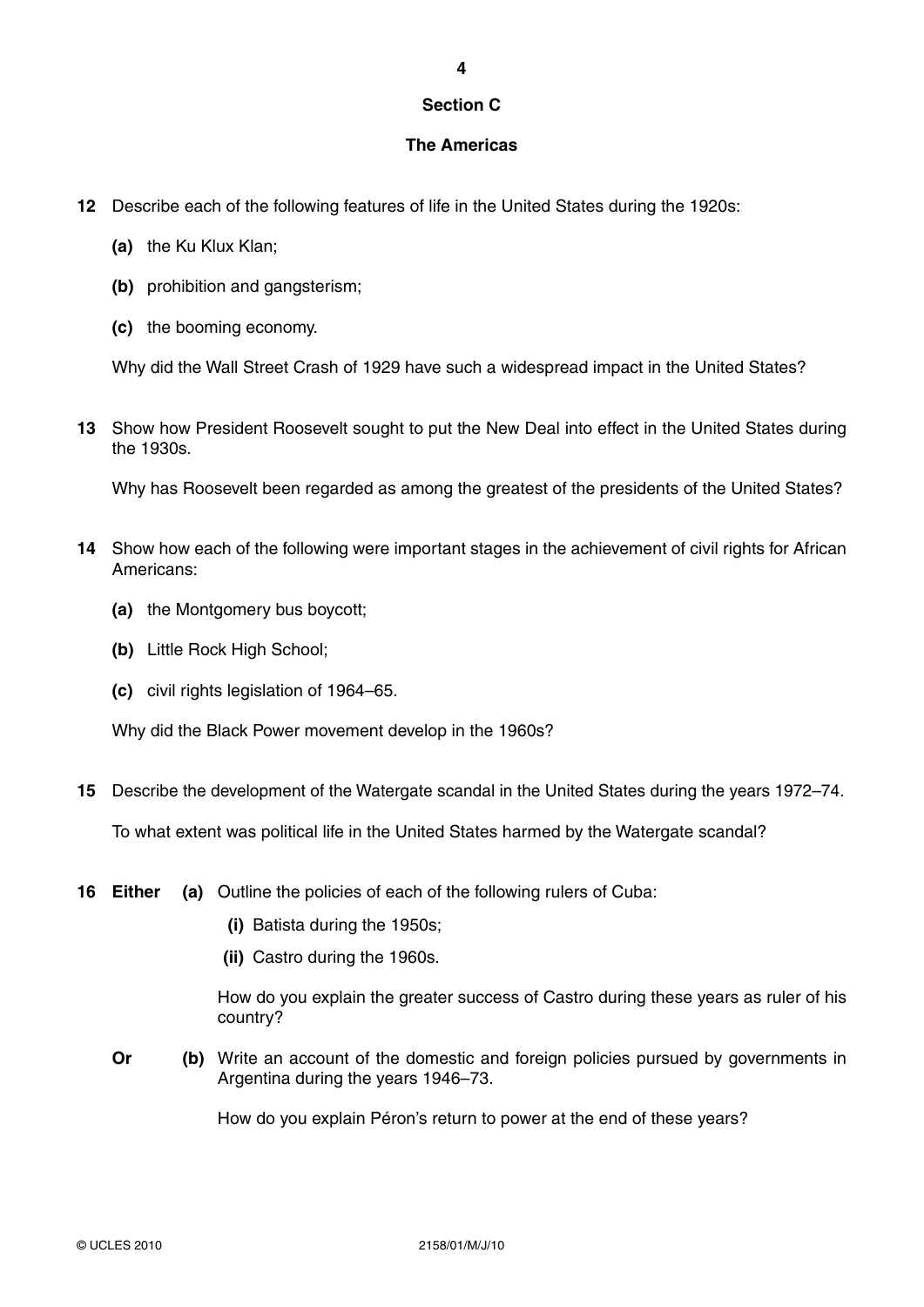# **Section C**

**4**

## **The Americas**

- **12** Describe each of the following features of life in the United States during the 1920s:
	- **(a)** the Ku Klux Klan;
	- **(b)** prohibition and gangsterism:
	- **(c)** the booming economy.

Why did the Wall Street Crash of 1929 have such a widespread impact in the United States?

**13** Show how President Roosevelt sought to put the New Deal into effect in the United States during the 1930s.

Why has Roosevelt been regarded as among the greatest of the presidents of the United States?

- **14** Show how each of the following were important stages in the achievement of civil rights for African Americans:
	- **(a)** the Montgomery bus boycott;
	- **(b)** Little Rock High School;
	- **(c)** civil rights legislation of 1964–65.

Why did the Black Power movement develop in the 1960s?

**15** Describe the development of the Watergate scandal in the United States during the years 1972–74.

To what extent was political life in the United States harmed by the Watergate scandal?

- **16 Either (a)** Outline the policies of each of the following rulers of Cuba:
	- **(i)** Batista during the 1950s;
	- **(ii)** Castro during the 1960s.

How do you explain the greater success of Castro during these years as ruler of his country?

**Or** (b) Write an account of the domestic and foreign policies pursued by governments in Argentina during the years 1946–73.

How do you explain Péron's return to power at the end of these years?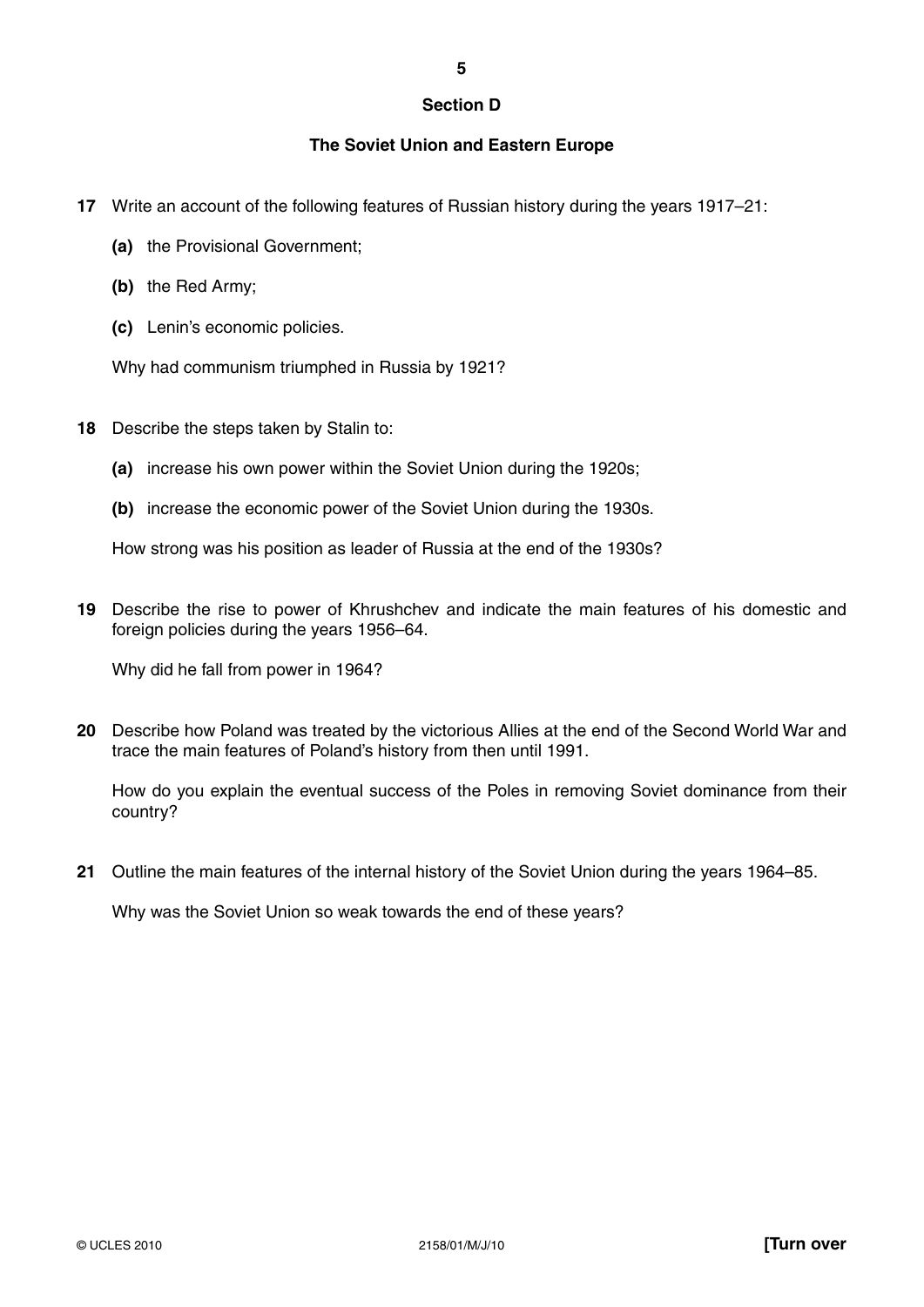## **Section D**

**5**

# **The Soviet Union and Eastern Europe**

- **17** Write an account of the following features of Russian history during the years 1917–21:
	- **(a)** the Provisional Government;
	- **(b)** the Red Army;
	- **(c)** Lenin's economic policies.

Why had communism triumphed in Russia by 1921?

- **18** Describe the steps taken by Stalin to:
	- **(a)** increase his own power within the Soviet Union during the 1920s;
	- **(b)** increase the economic power of the Soviet Union during the 1930s.

How strong was his position as leader of Russia at the end of the 1930s?

**19** Describe the rise to power of Khrushchev and indicate the main features of his domestic and foreign policies during the years 1956–64.

Why did he fall from power in 1964?

**20** Describe how Poland was treated by the victorious Allies at the end of the Second World War and trace the main features of Poland's history from then until 1991.

How do you explain the eventual success of the Poles in removing Soviet dominance from their country?

**21** Outline the main features of the internal history of the Soviet Union during the years 1964–85.

Why was the Soviet Union so weak towards the end of these years?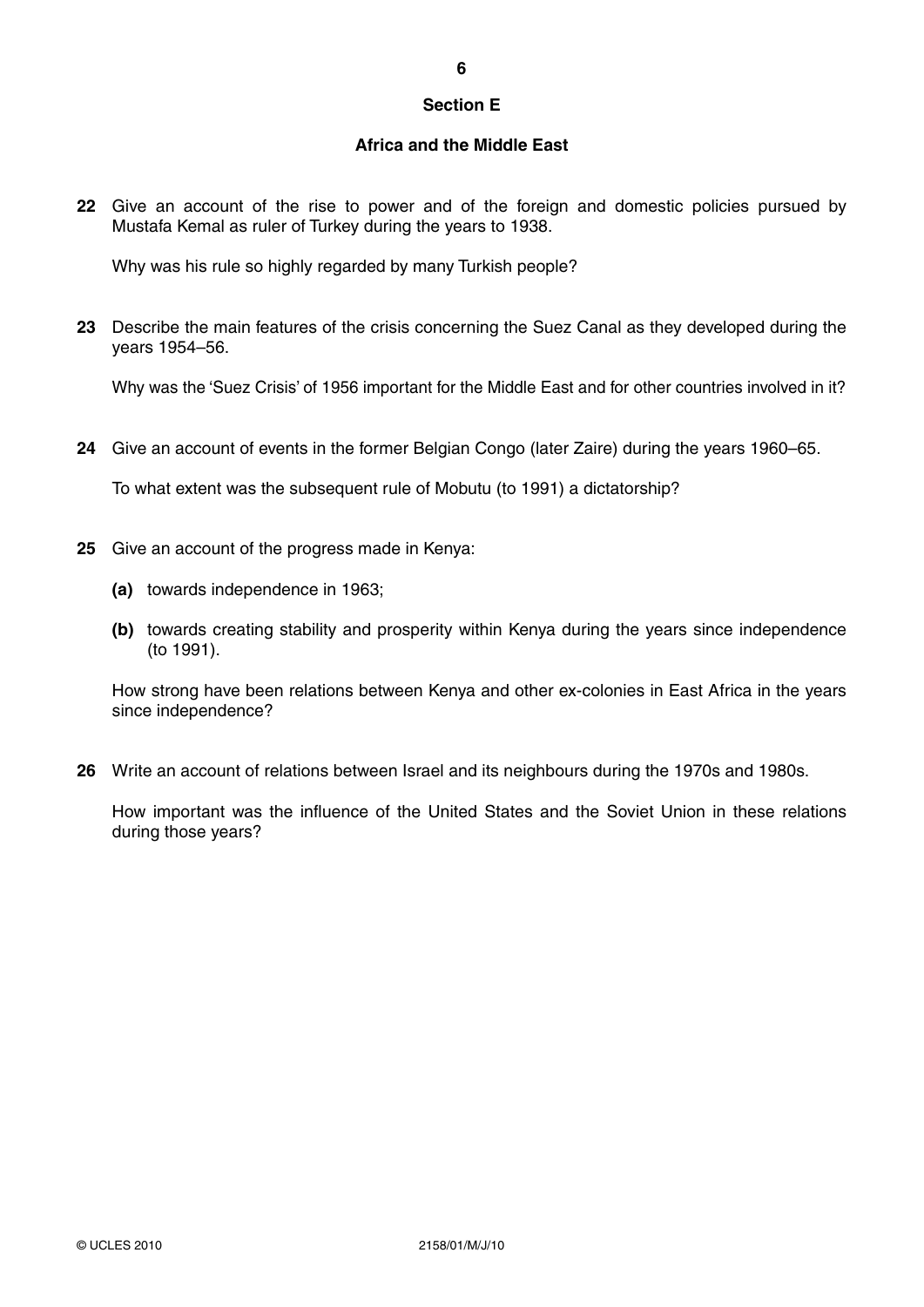### **Section E**

## **Africa and the Middle East**

**22** Give an account of the rise to power and of the foreign and domestic policies pursued by Mustafa Kemal as ruler of Turkey during the years to 1938.

Why was his rule so highly regarded by many Turkish people?

**23** Describe the main features of the crisis concerning the Suez Canal as they developed during the years 1954–56.

Why was the 'Suez Crisis' of 1956 important for the Middle East and for other countries involved in it?

**24** Give an account of events in the former Belgian Congo (later Zaire) during the years 1960–65.

To what extent was the subsequent rule of Mobutu (to 1991) a dictatorship?

- **25** Give an account of the progress made in Kenya:
	- **(a)** towards independence in 1963;
	- **(b)** towards creating stability and prosperity within Kenya during the years since independence (to 1991).

How strong have been relations between Kenya and other ex-colonies in East Africa in the years since independence?

**26** Write an account of relations between Israel and its neighbours during the 1970s and 1980s.

How important was the influence of the United States and the Soviet Union in these relations during those years?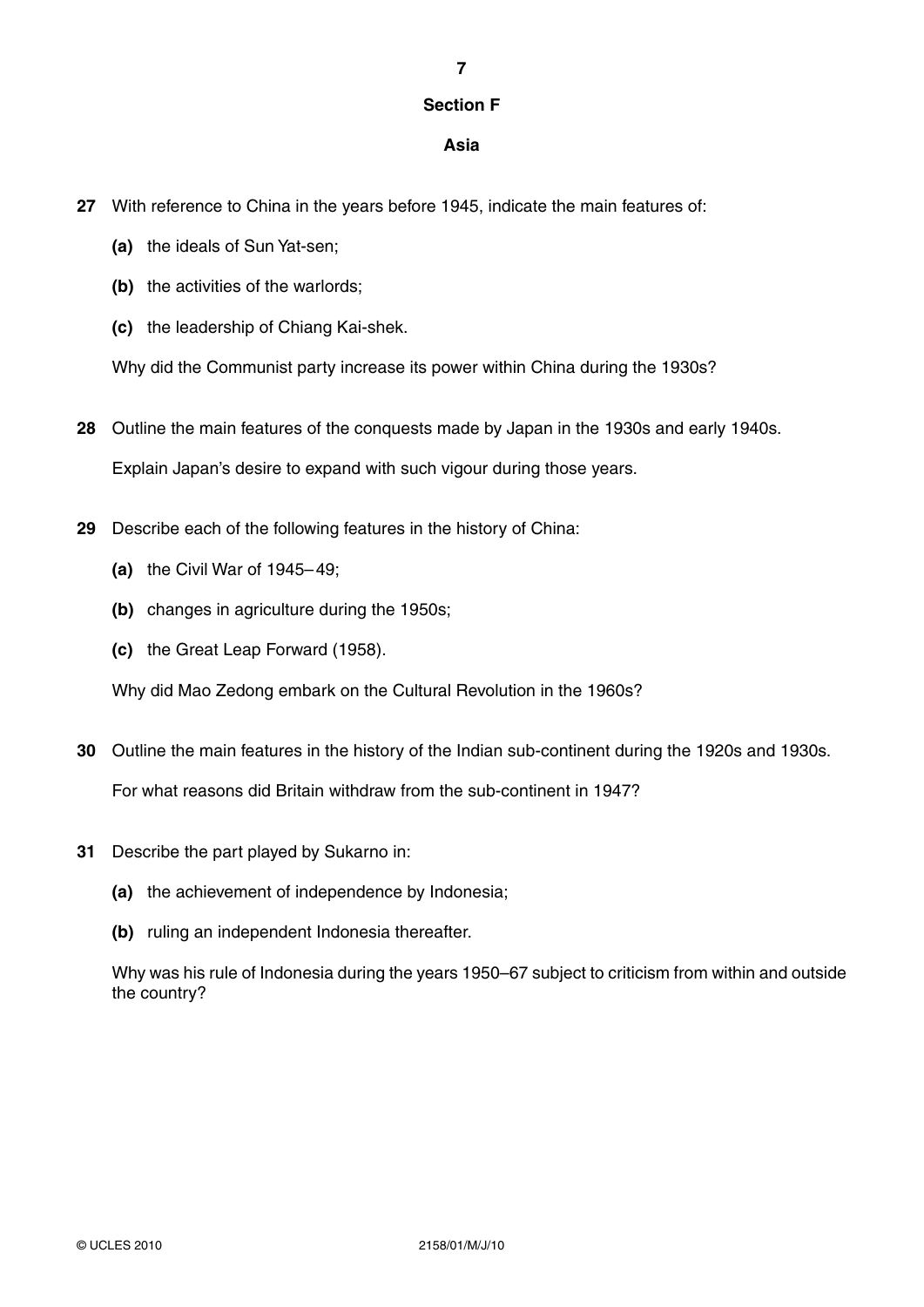# **Section F**

**7**

# **Asia**

- **27** With reference to China in the years before 1945, indicate the main features of:
	- **(a)** the ideals of Sun Yat-sen;
	- **(b)** the activities of the warlords;
	- **(c)** the leadership of Chiang Kai-shek.

Why did the Communist party increase its power within China during the 1930s?

**28** Outline the main features of the conquests made by Japan in the 1930s and early 1940s.

Explain Japan's desire to expand with such vigour during those years.

- **29** Describe each of the following features in the history of China:
	- **(a)** the Civil War of 1945– 49;
	- **(b)** changes in agriculture during the 1950s;
	- **(c)** the Great Leap Forward (1958).

Why did Mao Zedong embark on the Cultural Revolution in the 1960s?

- **30** Outline the main features in the history of the Indian sub-continent during the 1920s and 1930s. For what reasons did Britain withdraw from the sub-continent in 1947?
- **31** Describe the part played by Sukarno in:
	- **(a)** the achievement of independence by Indonesia;
	- **(b)** ruling an independent Indonesia thereafter.

Why was his rule of Indonesia during the years 1950–67 subject to criticism from within and outside the country?